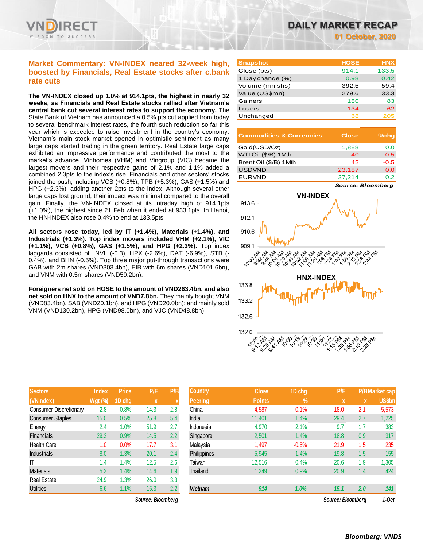

# **Market Commentary: VN-INDEX neared 32-week high, boosted by Financials, Real Estate stocks after c.bank rate cuts**

**The VN-INDEX closed up 1.0% at 914.1pts, the highest in nearly 32 weeks, as Financials and Real Estate stocks rallied after Vietnam's central bank cut several interest rates to support the economy.** The State Bank of Vietnam has announced a 0.5% pts cut applied from today to several benchmark interest rates, the fourth such reduction so far this year which is expected to raise investment in the country's economy. Vietnam's main stock market opened in optimistic sentiment as many large caps started trading in the green territory. Real Estate large caps exhibited an impressive performance and contributed the most to the market's advance. Vinhomes (VHM) and Vingroup (VIC) became the largest movers and their respective gains of 2.1% and 1.1% added a combined 2.3pts to the index's rise. Financials and other sectors' stocks joined the push, including VCB (+0.8%), TPB (+5.3%), GAS (+1.5%) and HPG (+2.3%), adding another 2pts to the index. Although several other large caps lost ground, their impact was minimal compared to the overall gain. Finally, the VN-INDEX closed at its intraday high of 914.1pts (+1.0%), the highest since 21 Feb when it ended at 933.1pts. In Hanoi, the HN-INDEX also rose 0.4% to end at 133.5pts.

**All sectors rose today, led by IT (+1.4%), Materials (+1.4%), and Industrials (+1.3%). Top index movers included VHM (+2.1%), VIC (+1.1%), VCB (+0.8%), GAS (+1.5%), and HPG (+2.3%).** Top index laggards consisted of NVL (-0.3), HPX (-2.6%), DAT (-6.9%), STB (- 0.4%), and BHN (-0.5%). Top three major put-through transactions were GAB with 2m shares (VND303.4bn), EIB with 6m shares (VND101.6bn), and VNM with 0.5m shares (VND59.2bn).

**Foreigners net sold on HOSE to the amount of VND263.4bn, and also net sold on HNX to the amount of VND7.8bn.** They mainly bought VNM (VND83.4bn), SAB (VND20.1bn), and HPG (VND20.0bn); and mainly sold VNM (VND130.2bn), HPG (VND98.0bn), and VJC (VND48.8bn).

| <b>Sectors</b>                | <b>Index</b>   | <b>Price</b> | P/E  | P/B |
|-------------------------------|----------------|--------------|------|-----|
| (VNIndex)                     | <b>Wgt</b> (%) | 1D chg       | X    | X   |
| <b>Consumer Discretionary</b> | 2.8            | 0.8%         | 14.3 | 2.8 |
| <b>Consumer Staples</b>       | 15.0           | 0.5%         | 25.8 | 5.4 |
| Energy                        | 2.4            | 1.0%         | 51.9 | 2.7 |
| Financials                    | 29.2           | 0.9%         | 14.5 | 2.2 |
| <b>Health Care</b>            | 1.0            | 0.0%         | 17.7 | 3.1 |
| <b>Industrials</b>            | 8.0            | 1.3%         | 20.1 | 2.4 |
| IT                            | 1.4            | 1.4%         | 12.5 | 2.6 |
| <b>Materials</b>              | 5.3            | 1.4%         | 14.6 | 1.9 |
| <b>Real Estate</b>            | 24.9           | 1.3%         | 26.0 | 3.3 |
| <b>Utilities</b>              | 6.6            | 1.1%         | 15.3 | 2.2 |

 $Source: Bloomberg$ 

| <b>Snapshot</b>  | <b>HOSE</b> | <b>HNX</b> |
|------------------|-------------|------------|
| Close (pts)      | 914.1       | 133.5      |
| 1 Day change (%) | 0.98        | 0.42       |
| Volume (mn shs)  | 392.5       | 59.4       |
| Value (US\$mn)   | 279.6       | 33.3       |
| Gainers          | 180         | 83         |
| Losers           | 134         | 62         |
| Unchanged        | 68          | 205        |

| <b>Commodities &amp; Currencies</b> | <b>Close</b> | $%$ chq |
|-------------------------------------|--------------|---------|
| Gold(USD/Oz)                        | 1,888        | 0.0     |
| WTI Oil (\$/B) 1 Mth                | 40           | $-0.5$  |
| Brent Oil (\$/B) 1 Mth              | 42           | $-0.5$  |
| <b>USDVND</b>                       | 23,187       | 0.0     |
| <b>EURVND</b>                       | 27,214       | 0.2     |

*Source: Bloomberg*



| <b>Sectors</b>          | <b>Index</b>   | <b>Price</b> | P/E               | P/B | <b>Country</b> | <b>Close</b>  | 1D chg  | P/E               |     | P/B Market cap |
|-------------------------|----------------|--------------|-------------------|-----|----------------|---------------|---------|-------------------|-----|----------------|
| (VNIndex)               | <b>Wgt (%)</b> | 1D chg       | X                 | X   | <b>Peering</b> | <b>Points</b> | $\%$    | X                 | X   | <b>US\$bn</b>  |
| Consumer Discretionary  | 2.8            | 0.8%         | 14.3              | 2.8 | China          | 4,587         | $-0.1%$ | 18.0              | 2.1 | 5,573          |
| <b>Consumer Staples</b> | 15.0           | 0.5%         | 25.8              | 5.4 | India          | 11.401        | 1.4%    | 29.4              | 2.7 | 1,225          |
| Energy                  | 2.4            | 1.0%         | 51.9              | 2.7 | Indonesia      | 4,970         | 2.1%    | 9.7               | 1.7 | 383            |
| Financials              | 29.2           | 0.9%         | 14.5              | 2.2 | Singapore      | 2,501         | 1.4%    | 18.8              | 0.9 | 317            |
| <b>Health Care</b>      | 1.0            | 0.0%         | 17.7              | 3.1 | Malaysia       | 1,497         | $-0.5%$ | 21.9              | 1.5 | 235            |
| <b>Industrials</b>      | 8.0            | 1.3%         | 20.1              | 2.4 | Philippines    | 5,945         | 1.4%    | 19.8              | 1.5 | 155            |
| ΙT                      | 1.4            | 1.4%         | 12.5              | 2.6 | Taiwan         | 12,516        | 0.4%    | 20.6              | 1.9 | 1,305          |
| <b>Materials</b>        | 5.3            | 1.4%         | 14.6              | 1.9 | Thailand       | 1,249         | 0.9%    | 20.9              | 1.4 | 424            |
| Real Estate             | 24.9           | 1.3%         | 26.0              | 3.3 |                |               |         |                   |     |                |
| <b>Utilities</b>        | 6.6            | 1.1%         | 15.3              | 2.2 | <b>Vietnam</b> | 914           | 1.0%    | 15.1              | 2.0 | 141            |
|                         |                |              | Source: Bloomberg |     |                |               |         | Source: Bloombera |     | $1-Oct$        |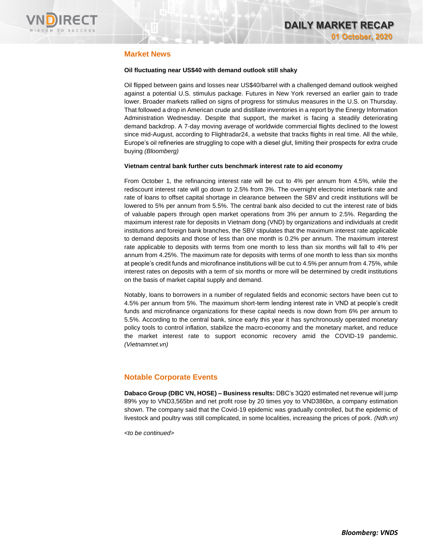

# **Market News**

### **Oil fluctuating near US\$40 with demand outlook still shaky**

Oil flipped between gains and losses near US\$40/barrel with a challenged demand outlook weighed against a potential U.S. stimulus package. Futures in New York reversed an earlier gain to trade lower. Broader markets rallied on signs of progress for stimulus measures in the U.S. on Thursday. That followed a drop in American crude and distillate inventories in a report by the Energy Information Administration Wednesday. Despite that support, the market is facing a steadily deteriorating demand backdrop. A 7-day moving average of worldwide commercial flights declined to the lowest since mid-August, according to Flightradar24, a website that tracks flights in real time. All the while, Europe's oil refineries are struggling to cope with a diesel glut, limiting their prospects for extra crude buying *(Bloomberg)*

### **Vietnam central bank further cuts benchmark interest rate to aid economy**

From October 1, the refinancing interest rate will be cut to 4% per annum from 4.5%, while the rediscount interest rate will go down to 2.5% from 3%. The overnight electronic interbank rate and rate of loans to offset capital shortage in clearance between the SBV and credit institutions will be lowered to 5% per annum from 5.5%. The central bank also decided to cut the interest rate of bids of valuable papers through open market operations from 3% per annum to 2.5%. Regarding the maximum interest rate for deposits in Vietnam dong (VND) by organizations and individuals at credit institutions and foreign bank branches, the SBV stipulates that the maximum interest rate applicable to demand deposits and those of less than one month is 0.2% per annum. The maximum interest rate applicable to deposits with terms from one month to less than six months will fall to 4% per annum from 4.25%. The maximum rate for deposits with terms of one month to less than six months at people's credit funds and microfinance institutions will be cut to 4.5% per annum from 4.75%, while interest rates on deposits with a term of six months or more will be determined by credit institutions on the basis of market capital supply and demand.

Notably, loans to borrowers in a number of regulated fields and economic sectors have been cut to 4.5% per annum from 5%. The maximum short-term lending interest rate in VND at people's credit funds and microfinance organizations for these capital needs is now down from 6% per annum to 5.5%. According to the central bank, since early this year it has synchronously operated monetary policy tools to control inflation, stabilize the macro-economy and the monetary market, and reduce the market interest rate to support economic recovery amid the COVID-19 pandemic. *(Vietnamnet.vn)*

## **Notable Corporate Events**

**Dabaco Group (DBC VN, HOSE) – Business results:** DBC's 3Q20 estimated net revenue will jump 89% yoy to VND3,565bn and net profit rose by 20 times yoy to VND386bn, a company estimation shown. The company said that the Covid-19 epidemic was gradually controlled, but the epidemic of livestock and poultry was still complicated, in some localities, increasing the prices of pork. *(Ndh.vn)*

*<to be continued>*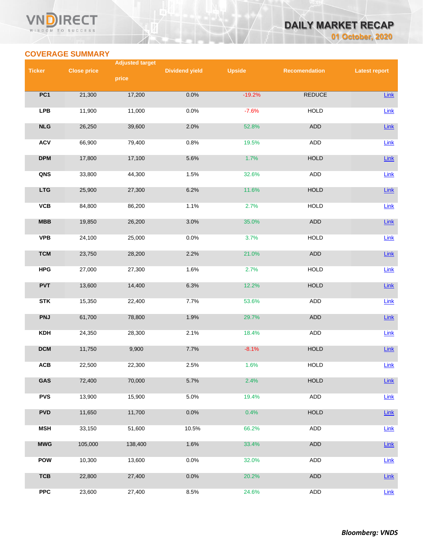## VND **RECT** WISDOM TO SUCCESS

# **DAILY MARKET RECAP 01 October, 2020**

# **COVERAGE SUMMARY**

|               |                    | <b>Adjusted target</b> |                       |               |                      |                      |
|---------------|--------------------|------------------------|-----------------------|---------------|----------------------|----------------------|
| <b>Ticker</b> | <b>Close price</b> |                        | <b>Dividend yield</b> | <b>Upside</b> | <b>Recomendation</b> | <b>Latest report</b> |
|               |                    | price                  |                       |               |                      |                      |
| PC1           | 21,300             | 17,200                 | 0.0%                  | $-19.2%$      | <b>REDUCE</b>        | Link                 |
|               |                    |                        |                       |               |                      |                      |
| <b>LPB</b>    | 11,900             | 11,000                 | 0.0%                  | $-7.6%$       | <b>HOLD</b>          | Link                 |
| NLG           | 26,250             | 39,600                 | 2.0%                  | 52.8%         | ADD                  | Link                 |
|               |                    |                        |                       |               |                      |                      |
| <b>ACV</b>    | 66,900             | 79,400                 | 0.8%                  | 19.5%         | <b>ADD</b>           | Link                 |
|               |                    |                        |                       |               |                      |                      |
| <b>DPM</b>    | 17,800             | 17,100                 | 5.6%                  | 1.7%          | <b>HOLD</b>          | $Link$               |
| QNS           | 33,800             | 44,300                 | 1.5%                  | 32.6%         | ADD                  | $Link$               |
|               |                    |                        |                       |               |                      |                      |
| <b>LTG</b>    | 25,900             | 27,300                 | 6.2%                  | 11.6%         | <b>HOLD</b>          | Link                 |
| <b>VCB</b>    | 84,800             | 86,200                 | 1.1%                  | 2.7%          | <b>HOLD</b>          | Link                 |
|               |                    |                        |                       |               |                      |                      |
| <b>MBB</b>    | 19,850             | 26,200                 | 3.0%                  | 35.0%         | ADD                  | Link                 |
| <b>VPB</b>    | 24,100             | 25,000                 | 0.0%                  | 3.7%          | <b>HOLD</b>          | Link                 |
|               |                    |                        |                       |               |                      |                      |
| <b>TCM</b>    | 23,750             | 28,200                 | 2.2%                  | 21.0%         | ADD                  | $Link$               |
|               |                    |                        |                       |               |                      |                      |
| <b>HPG</b>    | 27,000             | 27,300                 | 1.6%                  | 2.7%          | <b>HOLD</b>          | Link                 |
| <b>PVT</b>    | 13,600             | 14,400                 | 6.3%                  | 12.2%         | <b>HOLD</b>          | Link                 |
|               |                    |                        |                       |               |                      |                      |
| <b>STK</b>    | 15,350             | 22,400                 | 7.7%                  | 53.6%         | ADD                  | Link                 |
| <b>PNJ</b>    | 61,700             | 78,800                 | 1.9%                  | 29.7%         | ADD                  | Link                 |
|               |                    |                        |                       |               |                      |                      |
| <b>KDH</b>    | 24,350             | 28,300                 | 2.1%                  | 18.4%         | ADD                  | Link                 |
|               |                    |                        |                       |               |                      |                      |
| <b>DCM</b>    | 11,750             | 9,900                  | 7.7%                  | $-8.1%$       | <b>HOLD</b>          | $Link$               |
| ACB           | 22,500             | 22,300                 | 2.5%                  | 1.6%          | <b>HOLD</b>          | $Link$               |
|               |                    |                        |                       |               |                      |                      |
| GAS           | 72,400             | 70,000                 | 5.7%                  | 2.4%          | <b>HOLD</b>          | Link                 |
| <b>PVS</b>    | 13,900             | 15,900                 | 5.0%                  | 19.4%         | ADD                  | $Link$               |
|               |                    |                        |                       |               |                      |                      |
| <b>PVD</b>    | 11,650             | 11,700                 | 0.0%                  | 0.4%          | HOLD                 | $Link$               |
| <b>MSH</b>    | 33,150             | 51,600                 | 10.5%                 | 66.2%         | <b>ADD</b>           | Link                 |
|               |                    |                        |                       |               |                      |                      |
| <b>MWG</b>    | 105,000            | 138,400                | 1.6%                  | 33.4%         | ADD                  | $Link$               |
|               |                    |                        |                       |               |                      |                      |
| <b>POW</b>    | 10,300             | 13,600                 | 0.0%                  | 32.0%         | ADD                  | Link                 |
| <b>TCB</b>    | 22,800             | 27,400                 | 0.0%                  | 20.2%         | ADD                  | $Link$               |
|               |                    |                        |                       |               |                      |                      |
| <b>PPC</b>    | 23,600             | 27,400                 | 8.5%                  | 24.6%         | ADD                  | Link                 |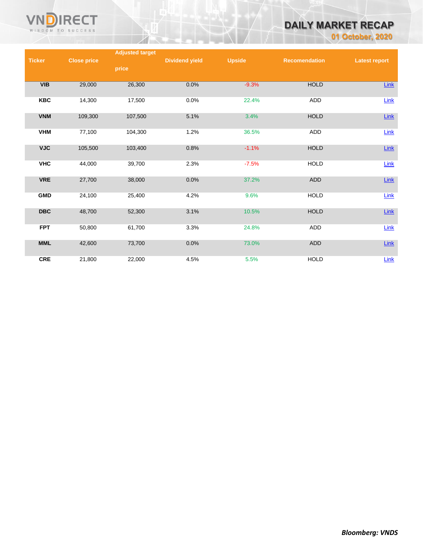

# **DAILY MARKET RECAP**

**01 October, 2020**

|                         |                    | <b>Adjusted target</b> |                       |               |                      |                      |
|-------------------------|--------------------|------------------------|-----------------------|---------------|----------------------|----------------------|
| <b>Ticker</b>           | <b>Close price</b> |                        | <b>Dividend yield</b> | <b>Upside</b> | <b>Recomendation</b> | <b>Latest report</b> |
|                         |                    | price                  |                       |               |                      |                      |
|                         |                    |                        |                       |               |                      |                      |
| VIB                     | 29,000             | 26,300                 | 0.0%                  | $-9.3%$       | <b>HOLD</b>          | <b>Link</b>          |
|                         |                    |                        |                       |               |                      |                      |
| <b>KBC</b>              | 14,300             | 17,500                 | 0.0%                  | 22.4%         | ADD                  | Link                 |
|                         |                    |                        |                       |               |                      |                      |
| <b>VNM</b>              | 109,300            | 107,500                | 5.1%                  | 3.4%          | <b>HOLD</b>          | $Link$               |
|                         |                    |                        |                       |               |                      |                      |
| <b>VHM</b>              | 77,100             | 104,300                | 1.2%                  | 36.5%         | ADD                  | Link                 |
|                         |                    |                        |                       |               |                      |                      |
| <b>VJC</b>              | 105,500            | 103,400                | 0.8%                  | $-1.1%$       | <b>HOLD</b>          | Link                 |
|                         |                    |                        |                       |               |                      |                      |
| <b>VHC</b>              | 44,000             | 39,700                 | 2.3%                  | $-7.5%$       | <b>HOLD</b>          | Link                 |
|                         |                    |                        |                       |               |                      |                      |
| <b>VRE</b>              | 27,700             | 38,000                 | 0.0%                  | 37.2%         | ADD                  | $Link$               |
|                         |                    |                        |                       |               |                      |                      |
| <b>GMD</b>              | 24,100             | 25,400                 | 4.2%                  | 9.6%          | <b>HOLD</b>          | Link                 |
|                         |                    |                        |                       |               |                      |                      |
| $\overline{\text{DBC}}$ | 48,700             | 52,300                 | 3.1%                  | 10.5%         | <b>HOLD</b>          | Link                 |
|                         |                    |                        |                       |               |                      |                      |
| <b>FPT</b>              | 50,800             | 61,700                 | 3.3%                  | 24.8%         | ADD                  | Link                 |
|                         |                    |                        |                       |               |                      |                      |
| <b>MML</b>              | 42,600             | 73,700                 | 0.0%                  | 73.0%         | ADD                  | $Link$               |
|                         |                    |                        |                       |               |                      |                      |
| <b>CRE</b>              | 21,800             | 22,000                 | 4.5%                  | 5.5%          | <b>HOLD</b>          | Link                 |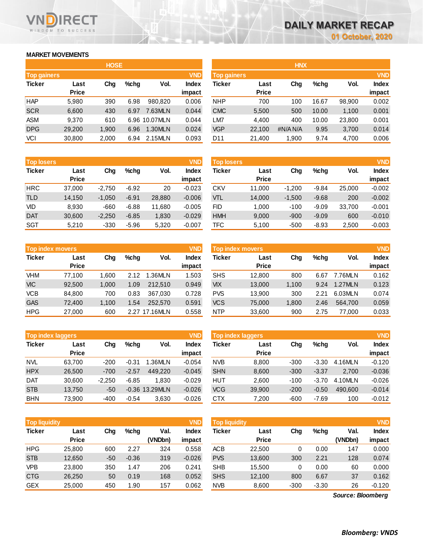# **MARKET MOVEMENTS**

WISDOM TO SUCCESS

n

**RECT** 

|                    |        | <b>HOSE</b> |         |               |              |
|--------------------|--------|-------------|---------|---------------|--------------|
| <b>Top gainers</b> |        |             |         |               | <b>VND</b>   |
| <b>Ticker</b>      | Last   | Chg         | $%$ chq | Vol.          | <b>Index</b> |
|                    | Price  |             |         |               | impact       |
| <b>HAP</b>         | 5,980  | 390         | 6.98    | 980.820       | 0.006        |
| <b>SCR</b>         | 6,600  | 430         | 6.97    | 7.63MLN       | 0.044        |
| ASM                | 9.370  | 610         |         | 6.96 10.07MLN | 0.044        |
| <b>DPG</b>         | 29,200 | 1,900       | 6.96    | 1.30MLN       | 0.024        |
| VCI                | 30,800 | 2,000       | 6.94    | 2.15MLN       | 0.093        |

| <b>Top losers</b> |              |          |         |        | <b>VND</b>   |
|-------------------|--------------|----------|---------|--------|--------------|
| <b>Ticker</b>     | Last         | Cha      | %chq    | Vol.   | <b>Index</b> |
|                   | <b>Price</b> |          |         |        | impact       |
| <b>HRC</b>        | 37,000       | $-2,750$ | $-6.92$ | 20     | $-0.023$     |
| TLD               | 14,150       | $-1,050$ | $-6.91$ | 28,880 | $-0.006$     |
| VID               | 8.930        | $-660$   | $-6.88$ | 11,680 | $-0.005$     |
| <b>DAT</b>        | 30,600       | $-2,250$ | $-6.85$ | 1,830  | $-0.029$     |
| SGT               | 5,210        | $-330$   | $-5.96$ | 5,320  | $-0.007$     |

| <b>Top index movers</b> | <b>VND</b>   |       |      |               |              |
|-------------------------|--------------|-------|------|---------------|--------------|
| <b>Ticker</b>           | Last         | Cha   | %chq | Vol.          | <b>Index</b> |
|                         | <b>Price</b> |       |      |               | impact       |
| <b>VHM</b>              | 77,100       | 1,600 | 2.12 | 1.36MLN       | 1.503        |
| <b>VIC</b>              | 92,500       | 1,000 | 1.09 | 212,510       | 0.949        |
| <b>VCB</b>              | 84,800       | 700   | 0.83 | 367,030       | 0.728        |
| <b>GAS</b>              | 72,400       | 1,100 | 1.54 | 252,570       | 0.591        |
| <b>HPG</b>              | 27,000       | 600   |      | 2.27 17.16MLN | 0.558        |

| <b>Top index laggers</b> |              |          |         |                | <b>VND</b>   |
|--------------------------|--------------|----------|---------|----------------|--------------|
| <b>Ticker</b>            | Last         | Cha      | $%$ chq | Vol.           | <b>Index</b> |
|                          | <b>Price</b> |          |         |                | impact       |
| <b>NVL</b>               | 63,700       | $-200$   | $-0.31$ | 1.36MLN        | $-0.054$     |
| <b>HPX</b>               | 26,500       | $-700$   | $-2.57$ | 449,220        | $-0.045$     |
| <b>DAT</b>               | 30,600       | $-2,250$ | $-6.85$ | 1.830          | $-0.029$     |
| <b>STB</b>               | 13,750       | -50      |         | -0.36 13.29MLN | $-0.026$     |
| <b>BHN</b>               | 73,900       | $-400$   | $-0.54$ | 3,630          | $-0.026$     |

| <b>Top liquidity</b> |              |       |         |         | <b>VND</b>   |
|----------------------|--------------|-------|---------|---------|--------------|
| <b>Ticker</b>        | Last         | Cha   | $%$ chq | Val.    | <b>Index</b> |
|                      | <b>Price</b> |       |         | (VNDbn) | impact       |
| <b>HPG</b>           | 25,800       | 600   | 2.27    | 324     | 0.558        |
| <b>STB</b>           | 12,650       | $-50$ | $-0.36$ | 319     | $-0.026$     |
| <b>VPB</b>           | 23,800       | 350   | 1.47    | 206     | 0.241        |
| <b>CTG</b>           | 26,250       | 50    | 0.19    | 168     | 0.052        |
| <b>GEX</b>           | 25.000       | 450   | 1.90    | 157     | 0.062        |

| <b>HNX</b><br><b>HOSE</b>                                                                             |                      |
|-------------------------------------------------------------------------------------------------------|----------------------|
| <b>VND</b><br><b>Top gainers</b><br><b>Top gainers</b>                                                | <b>VND</b>           |
| Ticker<br>Vol.<br>$%$ chg<br>$%$ chg<br><b>Index</b><br>Chg<br>Ticker<br>Chg<br>Last<br>Last          | <b>Index</b><br>Vol. |
| <b>Price</b><br><b>Price</b><br>impact                                                                | impact               |
| HAP<br><b>NHP</b><br>5,980<br>6.98<br>0.006<br>390<br>980.820<br>700<br>100<br>16.67                  | 0.002<br>98,900      |
| <b>SCR</b><br><b>CMC</b><br>7.63MLN<br>0.044<br>6,600<br>430<br>500<br>10.00<br>6.97<br>5,500         | 0.001<br>1,100       |
| ASM<br>LM7<br>6.96 10.07MLN<br>0.044<br>4.400<br>400<br>9.370<br>610<br>10.00                         | 0.001<br>23,800      |
| <b>DPG</b><br><b>VGP</b><br>0.024<br>1.30MLN<br>22.100<br>29,200<br>1,900<br>#N/A N/A<br>9.95<br>6.96 | 0.014<br>3,700       |
| VCI<br>30,800<br>2.15MLN<br>2,000<br>0.093<br>D11<br>21,400<br>1,900<br>6.94<br>9.74                  | 0.006<br>4,700       |

| <b>Top losers</b> |                      |          |         |        | <b>VND</b>      | <b>Top losers</b> |                      | <b>VND</b> |         |        |                        |
|-------------------|----------------------|----------|---------|--------|-----------------|-------------------|----------------------|------------|---------|--------|------------------------|
| Ticker            | Last<br><b>Price</b> | Chg      | $%$ chq | Vol.   | Index<br>impact | Ticker            | Last<br><b>Price</b> | Chg        | $%$ chg | Vol.   | <b>Index</b><br>impact |
| HRC               | 37.000               | $-2,750$ | $-6.92$ | 20     | $-0.023$        | <b>CKV</b>        | 11,000               | $-1,200$   | $-9.84$ | 25,000 | $-0.002$               |
| TLD               | 14,150               | $-1,050$ | $-6.91$ | 28,880 | $-0.006$        | VTL               | 14,000               | $-1,500$   | $-9.68$ | 200    | $-0.002$               |
| VID               | 8,930                | $-660$   | $-6.88$ | 11,680 | $-0.005$        | FID               | 1.000                | $-100$     | $-9.09$ | 33,700 | $-0.001$               |
| DAT               | 30,600               | $-2,250$ | $-6.85$ | 1,830  | $-0.029$        | <b>HMH</b>        | 9,000                | $-900$     | $-9.09$ | 600    | $-0.010$               |
| SGT               | 5,210                | $-330$   | $-5.96$ | 5,320  | $-0.007$        | TFC               | 5,100                | $-500$     | $-8.93$ | 2,500  | $-0.003$               |

| <b>Top index movers</b> |                      |       |         |               | <b>VND</b>      | Top index movers |                      | <b>VND</b> |         |         |                        |
|-------------------------|----------------------|-------|---------|---------------|-----------------|------------------|----------------------|------------|---------|---------|------------------------|
| Ticker                  | Last<br><b>Price</b> | Chg   | $%$ chg | Vol.          | Index<br>impact | Ticker           | Last<br><b>Price</b> | Chg        | $%$ chg | Vol.    | <b>Index</b><br>impact |
| VHM                     | 77.100               | 1.600 | 2.12    | 1.36MLN       | 1.503           | <b>SHS</b>       | 12.800               | 800        | 6.67    | 7.76MLN | 0.162                  |
| <b>VIC</b>              | 92,500               | 1.000 | 1.09    | 212.510       | 0.949           | <b>VIX</b>       | 13,000               | 1.100      | 9.24    | 1.27MLN | 0.123                  |
| VCB                     | 84,800               | 700   | 0.83    | 367.030       | 0.728           | <b>PVS</b>       | 13,900               | 300        | 2.21    | 6.03MLN | 0.074                  |
| <b>GAS</b>              | 72.400               | 1.100 | .54     | 252,570       | 0.591           | <b>VCS</b>       | 75,000               | 1.800      | 2.46    | 564.700 | 0.059                  |
| HPG                     | 27,000               | 600   |         | 2.27 17.16MLN | 0.558           | <b>NTP</b>       | 33,600               | 900        | 2.75    | 77,000  | 0.033                  |

| <b>Top index laggers</b> |                      |          |         |                  | <b>VND</b>      | Top index laggers |                      |        |         |         |                        |
|--------------------------|----------------------|----------|---------|------------------|-----------------|-------------------|----------------------|--------|---------|---------|------------------------|
| Ticker                   | Last<br><b>Price</b> | Chg      | $%$ chg | Vol.             | Index<br>impact | Ticker            | Last<br><b>Price</b> | Chg    | $%$ chg | Vol.    | <b>Index</b><br>impact |
| NVL                      | 63.700               | $-200$   | $-0.31$ | 1.36MLN          | $-0.054$        | <b>NVB</b>        | 8.800                | $-300$ | $-3.30$ | 4.16MLN | $-0.120$               |
| HPX                      | 26,500               | $-700$   | $-2.57$ | 449.220          | $-0.045$        | <b>SHN</b>        | 8,600                | $-300$ | $-3.37$ | 2.700   | $-0.036$               |
| Dat                      | 30,600               | $-2.250$ | $-6.85$ | 1.830            | $-0.029$        | HUT               | 2,600                | $-100$ | $-3.70$ | 4.10MLN | $-0.026$               |
| <b>STB</b>               | 13,750               | $-50$    |         | $-0.36$ 13.29MLN | $-0.026$        | <b>VCG</b>        | 39,900               | $-200$ | $-0.50$ | 490.600 | $-0.014$               |
| BHN                      | 73,900               | $-400$   | $-0.54$ | 3,630            | $-0.026$        | <b>CTX</b>        | 7,200                | $-600$ | $-7.69$ | 100     | $-0.012$               |

| <b>Top liquidity</b> |              |       |         |         | <b>VND</b>   | <b>Top liquidity</b> |              |        |         |                   | <b>VND</b>   |
|----------------------|--------------|-------|---------|---------|--------------|----------------------|--------------|--------|---------|-------------------|--------------|
| Ticker               | Last         | Chg   | $%$ chg | Val.    | <b>Index</b> | Ticker               | Last         | Chg    | $%$ chg | Val.              | <b>Index</b> |
|                      | <b>Price</b> |       |         | (VNDbn) | impact       |                      | <b>Price</b> |        |         | (VNDbn)           | impact       |
| HPG                  | 25,800       | 600   | 2.27    | 324     | 0.558        | ACB                  | 22,500       | 0      | 0.00    | 147               | 0.000        |
| <b>STB</b>           | 12,650       | $-50$ | $-0.36$ | 319     | $-0.026$     | <b>PVS</b>           | 13,600       | 300    | 2.21    | 128               | 0.074        |
| VPB                  | 23,800       | 350   | 1.47    | 206     | 0.241        | <b>SHB</b>           | 15.500       | 0      | 0.00    | 60                | 0.000        |
| <b>CTG</b>           | 26,250       | 50    | 0.19    | 168     | 0.052        | <b>SHS</b>           | 12,100       | 800    | 6.67    | 37                | 0.162        |
| GEX                  | 25,000       | 450   | 1.90    | 157     | 0.062        | <b>NVB</b>           | 8,600        | $-300$ | $-3.30$ | 26                | $-0.120$     |
|                      |              |       |         |         |              |                      |              |        |         | Source: Bloomberg |              |

*Source: Bloomberg*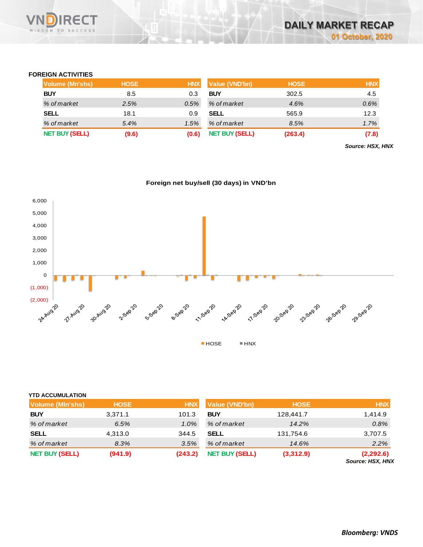

## **FOREIGN ACTIVITIES**

| Volume (Mn'shs)       | <b>HOSE</b> | <b>HNX</b> | <b>Value (VND'bn)</b> | <b>HOSE</b> | <b>HNX</b> |
|-----------------------|-------------|------------|-----------------------|-------------|------------|
| <b>BUY</b>            | 8.5         | 0.3        | <b>BUY</b>            | 302.5       | 4.5        |
| % of market           | 2.5%        | 0.5%       | % of market           | 4.6%        | 0.6%       |
| <b>SELL</b>           | 18.1        | 0.9        | <b>SELL</b>           | 565.9       | 12.3       |
| % of market           | 5.4%        | 1.5%       | % of market           | 8.5%        | 1.7%       |
| <b>NET BUY (SELL)</b> | (9.6)       | (0.6)      | <b>NET BUY (SELL)</b> | (263.4)     | (7.8)      |

*Source: HSX, HNX*





| <b>YTD ACCUMULATION</b> |             |            |                       |             |                               |
|-------------------------|-------------|------------|-----------------------|-------------|-------------------------------|
| Volume (MIn'shs)        | <b>HOSE</b> | <b>HNX</b> | <b>Value (VND'bn)</b> | <b>HOSE</b> | <b>HNX</b>                    |
| <b>BUY</b>              | 3,371.1     | 101.3      | <b>BUY</b>            | 128,441.7   | 1.414.9                       |
| % of market             | 6.5%        | 1.0%       | % of market           | 14.2%       | 0.8%                          |
| <b>SELL</b>             | 4,313.0     | 344.5      | <b>SELL</b>           | 131,754.6   | 3,707.5                       |
| % of market             | 8.3%        | 3.5%       | % of market           | 14.6%       | 2.2%                          |
| <b>NET BUY (SELL)</b>   | (941.9)     | (243.2)    | <b>NET BUY (SELL)</b> | (3,312.9)   | (2,292.6)<br>Source: HSX, HNX |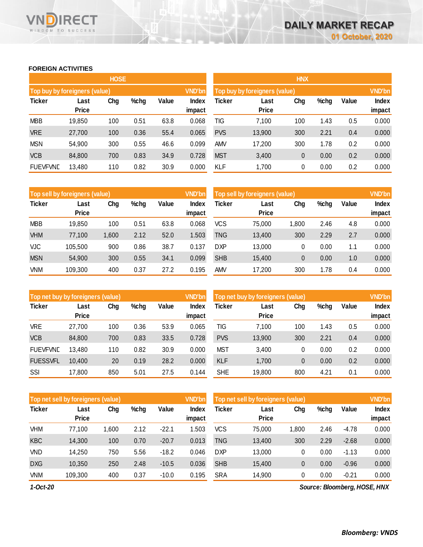# **FOREIGN ACTIVITIES**

WISDOM TO SUCCESS

n

**RECT** 

|                                      |              | <b>HOSE</b> |      |       |               | <b>HNX</b> |                               |     |      |       |        |  |
|--------------------------------------|--------------|-------------|------|-------|---------------|------------|-------------------------------|-----|------|-------|--------|--|
| <b>Top buy by foreigners (value)</b> |              |             |      |       | <b>VND'bn</b> |            | Top buy by foreigners (value) |     |      |       |        |  |
| <b>Ticker</b>                        | Last         | Chg         | %chg | Value | <b>Index</b>  | Ticker     | Last                          | Chg | %chg | Value | Index  |  |
|                                      | <b>Price</b> |             |      |       | impact        |            | <b>Price</b>                  |     |      |       | impact |  |
| <b>MBB</b>                           | 19,850       | 100         | 0.51 | 63.8  | 0.068         | TIG        | 7,100                         | 100 | 1.43 | 0.5   | 0.000  |  |
| <b>VRE</b>                           | 27,700       | 100         | 0.36 | 55.4  | 0.065         | <b>PVS</b> | 13,900                        | 300 | 2.21 | 0.4   | 0.000  |  |
| <b>MSN</b>                           | 54,900       | 300         | 0.55 | 46.6  | 0.099         | <b>AMV</b> | 17,200                        | 300 | 1.78 | 0.2   | 0.000  |  |
| <b>VCB</b>                           | 84,800       | 700         | 0.83 | 34.9  | 0.728         | <b>MST</b> | 3,400                         | 0   | 0.00 | 0.2   | 0.000  |  |
| <b>FUEVFVND</b>                      | 13,480       | 110         | 0.82 | 30.9  | 0.000         | KLF        | 1,700                         | 0   | 0.00 | 0.2   | 0.000  |  |

|               | Top sell by foreigners (value) |       |      |       | VND'bn                 | Top sell by foreigners (value) |                      |       |      |       |                 |
|---------------|--------------------------------|-------|------|-------|------------------------|--------------------------------|----------------------|-------|------|-------|-----------------|
| <b>Ticker</b> | Last<br><b>Price</b>           | Chg   | %chg | Value | <b>Index</b><br>impact | Ticker                         | Last<br><b>Price</b> | Chg   | %chg | Value | Index<br>impact |
| <b>MBB</b>    | 19,850                         | 100   | 0.51 | 63.8  | 0.068                  | <b>VCS</b>                     | 75,000               | 1,800 | 2.46 | 4.8   | 0.000           |
| <b>VHM</b>    | 77,100                         | 1,600 | 2.12 | 52.0  | .503                   | TNG                            | 13,400               | 300   | 2.29 | 2.7   | 0.000           |
| <b>VJC</b>    | 105.500                        | 900   | 0.86 | 38.7  | 0.137                  | DXP                            | 13,000               | 0     | 0.00 | 1.1   | 0.000           |
| <b>MSN</b>    | 54,900                         | 300   | 0.55 | 34.1  | 0.099                  | <b>SHB</b>                     | 15,400               | 0     | 0.00 | 1.0   | 0.000           |
| VNM           | 109,300                        | 400   | 0.37 | 27.2  | 0.195                  | <b>AMV</b>                     | 17,200               | 300   | 1.78 | 0.4   | 0.000           |

| Top net buy by foreigners (value) |                      |     |      |       | <b>VND'bn</b>   | Top net buy by foreigners (value) |                      |     |      |       |                 |
|-----------------------------------|----------------------|-----|------|-------|-----------------|-----------------------------------|----------------------|-----|------|-------|-----------------|
| <b>Ticker</b>                     | Last<br><b>Price</b> | Chg | %chg | Value | Index<br>impact | Ticker                            | Last<br><b>Price</b> | Chg | %chg | Value | Index<br>impact |
| <b>VRE</b>                        | 27,700               | 100 | 0.36 | 53.9  | 0.065           | TIG                               | 7,100                | 100 | 1.43 | 0.5   | 0.000           |
| <b>VCB</b>                        | 84,800               | 700 | 0.83 | 33.5  | 0.728           | <b>PVS</b>                        | 13,900               | 300 | 2.21 | 0.4   | 0.000           |
| <b>FUEVFVND</b>                   | 13,480               | 110 | 0.82 | 30.9  | 0.000           | <b>MST</b>                        | 3,400                | 0   | 0.00 | 0.2   | 0.000           |
| <b>FUESSVFL</b>                   | 10.400               | 20  | 0.19 | 28.2  | 0.000           | <b>KLF</b>                        | 1.700                | 0   | 0.00 | 0.2   | 0.000           |
| SSI                               | 17,800               | 850 | 5.01 | 27.5  | 0.144           | <b>SHE</b>                        | 19,800               | 800 | 4.21 | 0.1   | 0.000           |

|               | Top net sell by foreigners (value) |       |      |         |                        |            | Top net sell by foreigners (value) |       |      | <b>VND'bn</b> |                        |
|---------------|------------------------------------|-------|------|---------|------------------------|------------|------------------------------------|-------|------|---------------|------------------------|
| <b>Ticker</b> | Last<br><b>Price</b>               | Chg   | %chg | Value   | <b>Index</b><br>impact | Ticker     | Last<br><b>Price</b>               | Chg   | %chg | Value         | <b>Index</b><br>impact |
| VHM           | 77,100                             | 1,600 | 2.12 | $-22.1$ | 1.503                  | <b>VCS</b> | 75,000                             | 1,800 | 2.46 | $-4.78$       | 0.000                  |
| <b>KBC</b>    | 14.300                             | 100   | 0.70 | $-20.7$ | 0.013                  | <b>TNG</b> | 13,400                             | 300   | 2.29 | $-2.68$       | 0.000                  |
| VND           | 14,250                             | 750   | 5.56 | $-18.2$ | 0.046                  | <b>DXP</b> | 13,000                             | 0     | 0.00 | $-1.13$       | 0.000                  |
| <b>DXG</b>    | 10,350                             | 250   | 2.48 | $-10.5$ | 0.036                  | <b>SHB</b> | 15,400                             | 0     | 0.00 | $-0.96$       | 0.000                  |
| VNM           | 109,300                            | 400   | 0.37 | $-10.0$ | 0.195                  | <b>SRA</b> | 14,900                             | 0     | 0.00 | $-0.21$       | 0.000                  |

*1-Oct-20*

*Source: Bloomberg, HOSE, HNX*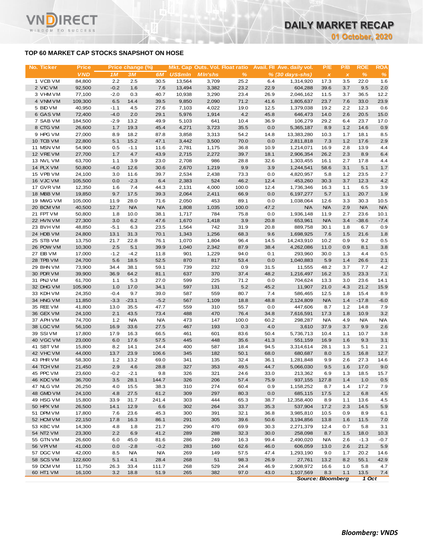# **TOP 60 MARKET CAP STOCKS SNAPSHOT ON HOSE**

T.

WISDOM TO SUCCESS

| No. Ticker             | <b>Price</b>      |               | Price change (%) |              |                | Mkt. Cap Outs. Vol. Float ratio |              |              | Avail. Fil Ave. daily vol. | P/E            | P/B          | <b>ROE</b>   | <b>ROA</b>  |
|------------------------|-------------------|---------------|------------------|--------------|----------------|---------------------------------|--------------|--------------|----------------------------|----------------|--------------|--------------|-------------|
|                        | <b>VND</b>        | 1M            | <b>3M</b>        | 6M           | <b>US\$mln</b> | <b>MIn'shs</b>                  | $\%$         |              | $% (30 days-shs)$          | $\pmb{\times}$ | $\pmb{\chi}$ | $\%$         | %           |
| 1 VCB VM               | 84,800            | 2.2           | 2.5              | 30.5         | 13,564         | 3,709                           | 25.2         | 6.4          | 1,314,920                  | 17.3           | 3.5          | 22.0         | 1.6         |
| 2 VIC VM               | 92,500            | $-0.2$        | 1.6              | 7.6          | 13,494         | 3,382                           | 23.2         | 22.9         | 604,288                    | 39.6           | 3.7          | 9.5          | 2.0         |
| 3 VHM VM               | 77,100            | $-2.0$        | 0.3              | 40.7         | 10,938         | 3,290                           | 23.4         | 26.9         | 2,046,162                  | 11.5           | 3.7          | 36.5         | 12.2        |
| 4 VNM VM<br>5 BID VM   | 109,300<br>40,950 | 6.5<br>$-1.1$ | 14.4             | 39.5<br>27.6 | 9,850<br>7,103 | 2,090<br>4,022                  | 71.2         | 41.6         | 1,805,637<br>1,379,038     | 23.7<br>19.2   | 7.6<br>2.2   | 33.0<br>12.3 | 23.9<br>0.6 |
| 6 GAS VM               | 72,400            | $-4.0$        | 4.5<br>2.0       | 29.1         | 5,976          | 1,914                           | 19.0<br>4.2  | 12.5<br>45.8 | 646,473                    | 14.0           | 2.6          | 20.5         | 15.0        |
| 7 SAB VM               | 184,500           | $-2.9$        | 13.2             | 49.9         | 5,103          | 641                             | 10.4         | 36.9         | 106,279                    | 29.2           | 6.4          | 23.7         | 17.0        |
| 8 CTG VM               | 26,600            | 1.7           | 19.3             | 45.4         | 4,271          | 3,723                           | 35.5         | 0.0          | 5,365,187                  | 8.9            | 1.2          | 14.6         | 0.9         |
| 9 HPG VM               | 27,000            | 8.9           | 18.2             | 87.8         | 3,858          | 3,313                           | 54.2         | 14.8         | 13,383,280                 | 10.3           | 1.7          | 18.1         | 8.5         |
| 10 TCB VM              | 22,800            | 5.1           | 15.2             | 47.1         | 3,442          | 3,500                           | 70.0         | 0.0          | 2,811,818                  | 7.3            | 1.2          | 17.6         | 2.9         |
| 11 MSN VM              | 54,900            | 0.5           | $-1.1$           | 11.6         | 2,781          | 1,175                           | 36.8         | 10.9         | 1,214,071                  | 16.9           | 2.8          | 13.9         | 4.4         |
| 12 VREVM               | 27,700            | 1.7           | 4.7              | 43.9         | 2,715          | 2,272                           | 39.7         | 18.1         | 2,906,354                  | 26.2           | 2.3          | 8.9          | 6.4         |
| 13 NVL VM              | 63,700            | 1.1           | 3.9              | 23.0         | 2,708          | 986                             | 28.8         | 32.6         | 1,303,455                  | 16.1           | 2.7          | 17.8         | 4.4         |
| 14 PLX VM              | 50,800            | $-4.0$        | 12.6             | 30.6         | 2,670          | 1,219                           | 9.9          | 3.9          | 1,244,541                  | 58.6           | 3.1          | 5.1          | 1.7         |
| 15 VPB VM<br>16 VJC VM | 24,100<br>105,500 | 3.0<br>0.0    | 11.6<br>$-2.3$   | 39.7<br>6.4  | 2,534<br>2,383 | 2,438<br>524                    | 73.3<br>46.2 | 0.0<br>12.4  | 4,820,957<br>453,260       | 5.8<br>30.3    | 1.2<br>3.7   | 23.5<br>12.3 | 2.7<br>4.2  |
| 17 GVR VM              | 12,350            | 1.6           | 7.4              | 44.3         | 2,131          | 4,000                           | 100.0        | 12.4         | 1,736,346                  | 16.3           | 1.1          | 6.5          | 3.9         |
| 18 MBB VM              | 19,850            | 9.7           | 17.5             | 39.3         | 2,064          | 2,411                           | 66.9         | 0.0          | 6,197,277                  | 5.7            | 1.1          | 20.7         | 1.9         |
| 19 MWG VM              | 105,000           | 11.9          | 28.0             | 71.6         | 2,050          | 453                             | 89.1         | 0.0          | 1,038,064                  | 12.6           | 3.3          | 30.3         | 10.5        |
| 20 BCM VM              | 40,500            | 12.7          | <b>N/A</b>       | <b>N/A</b>   | 1,808          | 1,035                           | 100.0        | 47.2         | <b>N/A</b>                 | <b>N/A</b>     | 2.9          | <b>N/A</b>   | <b>N/A</b>  |
| 21 FPT VM              | 50,800            | 1.8           | 10.0             | 38.1         | 1,717          | 784                             | 75.8         | 0.0          | 1,936,148                  | 11.9           | 2.7          | 23.6         | 10.1        |
| 22 HVN VM              | 27,300            | 3.0           | 6.2              | 47.6         | 1,670          | 1,418                           | 3.9          | 20.8         | 653,961                    | <b>N/A</b>     | 3.4          | $-38.6$      | $-7.4$      |
| 23 BVHVM               | 48,850            | $-5.1$        | 6.3              | 23.5         | 1,564          | 742                             | 31.9         | 20.8         | 889,758                    | 30.1           | 1.8          | 6.7          | 0.9         |
| 24 HDB VM              | 24,800            | 13.1          | 31.3             | 70.1         | 1,343          | 1,256                           | 68.3         | 9.6          | 1,698,925                  | 7.6            | 1.5          | 21.6         | 1.8         |
| 25 STB VM              | 13,750            | 21.7          | 22.8             | 76.1         | 1,070          | 1,804                           | 96.4         | 14.5         | 14,243,910                 | 10.2           | 0.9          | 9.2          | 0.5         |
| 26 POW VM              | 10,300            | 2.5           | 5.1              | 39.9         | 1,040          | 2,342                           | 87.9         | 38.4         | 4,262,086                  | 11.0           | 0.9          | 8.1          | 3.8         |
| 27 EIB VM              | 17,000            | $-1.2$        | $-4.2$           | 11.8         | 901            | 1,229                           | 94.0         | 0.1          | 293,960                    | 30.0           | 1.3          | 4.4          | 0.5         |
| 28 TPB VM              | 24,700            | 5.6           | 18.5             | 52.5         | 870            | 817                             | 53.4         | 0.0          | 1,040,883                  | 5.9            | 1.4          | 26.6         | 2.1         |
| 29 BHN VM<br>30 PDR VM | 73,900<br>39,900  | 34.4<br>36.9  | 38.1<br>64.2     | 59.1<br>81.1 | 739<br>637     | 232<br>370                      | 0.9<br>37.4  | 31.5<br>48.2 | 11,555<br>1,216,497        | 48.2<br>16.2   | 3.7<br>3.5   | 7.7<br>23.3  | 4.2<br>7.1  |
| 31 PNJ VM              | 61,700            | 1.1           | 5.3              | 27.0         | 599            | 225                             | 71.2         | 0.0          | 704,624                    | 13.3           | 3.0          | 23.6         | 14.1        |
| 32 DHG VM              | 105,900           | 1.0           | 17.0             | 34.1         | 597            | 131                             | 5.2          | 45.2         | 11,907                     | 21.0           | 4.3          | 21.2         | 15.9        |
| 33 KDH VM              | 24,350            | $-0.4$        | 9.7              | 39.0         | 587            | 559                             | 80.7         | 7.4          | 586,465                    | 12.5           | 1.8          | 15.4         | 8.9         |
| 34 HNG VM              | 11,850            | $-3.3$        | $-23.1$          | $-5.2$       | 567            | 1,109                           | 18.8         | 48.8         | 2,124,809                  | <b>N/A</b>     | 1.4          | $-17.8$      | $-6.0$      |
| 35 REE VM              | 41,800            | 13.0          | 35.5             | 47.7         | 559            | 310                             | 55.7         | 0.0          | 447,606                    | 8.7            | 1.2          | 14.8         | 7.9         |
| 36 GEX VM              | 24,100            | 2.1           | 43.5             | 73.4         | 488            | 470                             | 76.4         | 34.8         | 7,616,591                  | 17.3           | 1.8          | 10.9         | 3.2         |
| 37 APH VM              | 74,700            | $1.2$         | <b>N/A</b>       | <b>N/A</b>   | 473            | 147                             | 100.0        | 60.2         | 298,287                    | <b>N/A</b>     | 4.9          | <b>N/A</b>   | <b>N/A</b>  |
| 38 LGC VM              | 56,100            | 16.9          | 33.6             | 27.5         | 467            | 193                             | 0.3          | 4.0          | 3,610                      | 37.9           | 3.7          | 9.9          | 2.6         |
| 39 SSIVM               | 17,800            | 17.9          | 16.3             | 66.5         | 461            | 601                             | 83.6         | 50.4         | 5,736,713                  | 10.4           | 1.1          | 10.7         | 3.8         |
| 40 VGC VM              | 23,000            | 6.0           | 17.6             | 57.5         | 445            | 448                             | 35.6         | 41.3         | 551,159                    | 16.9           | 1.6          | 9.3          | 3.1         |
| 41 SBT VM              | 15,800            | 8.2           | 14.1             | 24.4         | 400            | 587                             | 18.4         | 94.5         | 3,314,614                  | 28.1           | 1.3          | 5.1          | 2.1         |
| 42 VHC VM              | 44,000            | 13.7          | 23.9             | 106.6        | 345            | 182                             | 50.1         | 68.0         | 680,687                    | 8.0            | 1.5          | 16.8         | 12.7        |
| 43 PHR VM<br>44 TCH VM | 58,300<br>21,450  | $1.2$<br>2.9  | 13.2<br>4.6      | 69.0<br>28.8 | 341<br>327     | 135<br>353                      | 32.4<br>49.5 | 36.1<br>44.7 | 1,281,848<br>5,066,030     | 9.9<br>9.5     | 2.6<br>1.6   | 27.3<br>17.0 | 14.6<br>9.0 |
| 45 PPC VM              | 23,600            | $-0.2$        | $-2.1$           | 9.8          | 326            | 321                             | 24.6         | 33.0         | 213,362                    | 6.9            | 1.3          | 18.5         | 15.7        |
| 46 KDC VM              | 36,700            | 3.5           | 28.1             | 144.7        | 326            | 206                             | 57.4         | 75.9         | 937,155                    | 127.8          | 1.4          | 1.0          | 0.5         |
| 47 NLG VM              | 26,250            | 4.0           | 15.5             | 38.3         | 310            | 274                             | 60.4         | 0.9          | 1,158,252                  | 8.7            | 1.4          | 17.2         | 7.9         |
| 48 GMD VM              | 24,100            | 4.8           | 27.5             | 61.2         | 309            | 297                             | 80.3         | 0.0          | 685,115                    | 17.5           | 1.2          | 6.8          | 4.5         |
| 49 HSG VM              | 15,800            | 33.9          | 31.7             | 241.4        | 303            | 444                             | 65.3         | 38.7         | 12,358,400                 | 8.9            | 1.1          | 13.6         | 4.5         |
| 50 HPX VM              | 26,500            | 14.1          | 12.9             | 6.6          | 302            | 264                             | 33.7         | 35.3         | 537,904                    | 17.2           | 2.3          | 14.5         | 5.9         |
| 51 DPM VM              | 17,800            | 7.6           | 23.6             | 45.3         | 300            | 391                             | 32.1         | 36.8         | 3,985,810                  | 10.5           | 0.9          | 8.9          | 6.1         |
| 52 HCM VM              | 22,150            | 17.8          | 16.3             | 86.1         | 291            | 305                             | 39.6         | 50.6         | 3,194,856                  | 13.8           | 1.6          | 11.5         | 7.0         |
| 53 KBC VM              | 14,300            | 4.8           | 1.8              | 21.7         | 290            | 470                             | 69.9         | 30.3         | 2,271,379                  | 12.4           | 0.7          | 5.8          | 3.1         |
| 54 NT2 VM              | 23,300            | 2.2           | 6.9              | 41.2         | 289            | 288                             | 32.3         | 30.0         | 258,098                    | 8.7            | 1.5          | 18.0         | 10.3        |
| 55 GTN VM              | 26,600            | 6.0           | 45.0             | 81.6         | 286            | 249                             | 16.3         | 99.4         | 2,490,020                  | <b>N/A</b>     | 2.6          | $-1.3$       | $-0.7$      |
| 56 VPI VM              | 41,000            | 0.0           | $-2.8$           | $-0.2$       | 283            | 160                             | 62.6         | 46.0         | 606,059                    | 13.0           | 2.6          | 21.2         | 5.9         |
| 57 DGC VM              | 42,000            | 8.5           | <b>N/A</b>       | <b>N/A</b>   | 269            | 149                             | 57.5         | 47.4         | 1,293,190                  | 9.0            | 1.7          | 20.2         | 14.6        |
| 58 SCS VM              | 122,600           | 5.1           | 4.1              | 28.4         | 268            | 51                              | 98.3         | 26.9         | 27,761                     | 13.2           | 8.2          | 55.1         | 42.9        |
| 59 DCM VM              | 11,750            | 26.3          | 33.4             | 111.7        | 268            | 529                             | 24.4         | 46.9         | 2,908,972                  | 16.6           | 1.0          | 5.8          | 4.7         |
| 60 HT1 VM              | 16,100            | 3.2           | 18.8             | 51.9         | 265            | 382                             | 97.0         | 43.0         | 1,107,569                  | 8.3            | 1.1          | 13.5         | 7.4         |